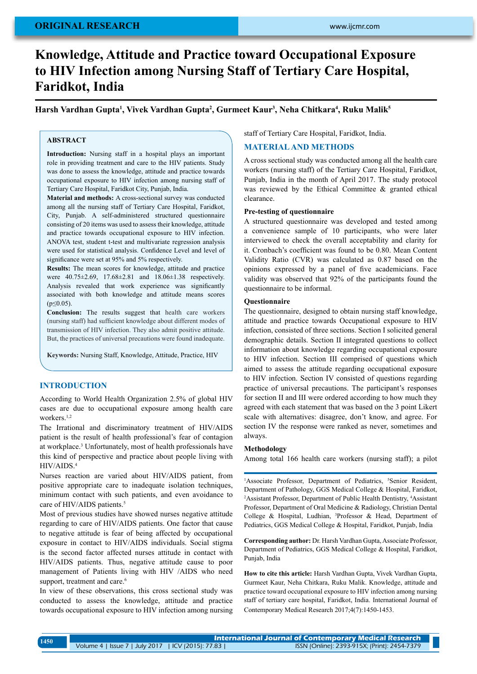# **original research**

# **Knowledge, Attitude and Practice toward Occupational Exposure to HIV Infection among Nursing Staff of Tertiary Care Hospital, Faridkot, India**

**Harsh Vardhan Gupta1 , Vivek Vardhan Gupta2 , Gurmeet Kaur3 , Neha Chitkara4 , Ruku Malik5**

## **ABSTRACT**

**Introduction:** Nursing staff in a hospital plays an important role in providing treatment and care to the HIV patients. Study was done to assess the knowledge, attitude and practice towards occupational exposure to HIV infection among nursing staff of Tertiary Care Hospital, Faridkot City, Punjab, India.

**Material and methods:** A cross-sectional survey was conducted among all the nursing staff of Tertiary Care Hospital, Faridkot, City, Punjab. A self-administered structured questionnaire consisting of 20 items was used to assess their knowledge, attitude and practice towards occupational exposure to HIV infection. ANOVA test, student t-test and multivariate regression analysis were used for statistical analysis. Confidence Level and level of significance were set at 95% and 5% respectively.

**Results:** The mean scores for knowledge, attitude and practice were 40.75±2.69, 17.68±2.81 and 18.06±1.38 respectively. Analysis revealed that work experience was significantly associated with both knowledge and attitude means scores  $(p<0.05)$ .

**Conclusion:** The results suggest that health care workers (nursing staff) had sufficient knowledge about different modes of transmission of HIV infection. They also admit positive attitude. But, the practices of universal precautions were found inadequate.

**Keywords:** Nursing Staff, Knowledge, Attitude, Practice, HIV

### **INTRODUCTION**

According to World Health Organization 2.5% of global HIV cases are due to occupational exposure among health care workers.<sup>1,2</sup>

The Irrational and discriminatory treatment of HIV/AIDS patient is the result of health professional's fear of contagion at workplace.<sup>3</sup> Unfortunately, most of health professionals have this kind of perspective and practice about people living with HIV/AIDS.4

Nurses reaction are varied about HIV/AIDS patient, from positive appropriate care to inadequate isolation techniques, minimum contact with such patients, and even avoidance to care of HIV/AIDS patients.<sup>5</sup>

Most of previous studies have showed nurses negative attitude regarding to care of HIV/AIDS patients. One factor that cause to negative attitude is fear of being affected by occupational exposure in contact to HIV/AIDS individuals. Social stigma is the second factor affected nurses attitude in contact with HIV/AIDS patients. Thus, negative attitude cause to poor management of Patients living with HIV /AIDS who need support, treatment and care.<sup>6</sup>

In view of these observations, this cross sectional study was conducted to assess the knowledge, attitude and practice towards occupational exposure to HIV infection among nursing staff of Tertiary Care Hospital, Faridkot, India.

## **MATERIAL AND METHODS**

A cross sectional study was conducted among all the health care workers (nursing staff) of the Tertiary Care Hospital, Faridkot, Punjab, India in the month of April 2017. The study protocol was reviewed by the Ethical Committee & granted ethical clearance.

#### **Pre-testing of questionnaire**

A structured questionnaire was developed and tested among a convenience sample of 10 participants, who were later interviewed to check the overall acceptability and clarity for it. Cronbach's coefficient was found to be 0.80. Mean Content Validity Ratio (CVR) was calculated as 0.87 based on the opinions expressed by a panel of five academicians. Face validity was observed that 92% of the participants found the questionnaire to be informal.

#### **Questionnaire**

The questionnaire, designed to obtain nursing staff knowledge, attitude and practice towards Occupational exposure to HIV infection, consisted of three sections. Section I solicited general demographic details. Section II integrated questions to collect information about knowledge regarding occupational exposure to HIV infection. Section III comprised of questions which aimed to assess the attitude regarding occupational exposure to HIV infection. Section IV consisted of questions regarding practice of universal precautions. The participant's responses for section II and III were ordered according to how much they agreed with each statement that was based on the 3 point Likert scale with alternatives: disagree, don't know, and agree. For section IV the response were ranked as never, sometimes and always.

#### **Methodology**

Among total 166 health care workers (nursing staff); a pilot

<sup>1</sup>Associate Professor, Department of Pediatrics, <sup>5</sup>Senior Resident, Department of Pathology, GGS Medical College & Hospital, Faridkot, <sup>2</sup> Assistant Professor, Department of Public Health Dentistry, <sup>4</sup> Assistant Professor, Department of Oral Medicine & Radiology, Christian Dental College & Hospital, Ludhian, 3 Professor & Head, Department of Pediatrics, GGS Medical College & Hospital, Faridkot, Punjab, India

**Corresponding author:** Dr. Harsh Vardhan Gupta, Associate Professor, Department of Pediatrics, GGS Medical College & Hospital, Faridkot, Punjab, India

**How to cite this article:** Harsh Vardhan Gupta, Vivek Vardhan Gupta, Gurmeet Kaur, Neha Chitkara, Ruku Malik. Knowledge, attitude and practice toward occupational exposure to HIV infection among nursing staff of tertiary care hospital, Faridkot, India. International Journal of Contemporary Medical Research 2017;4(7):1450-1453.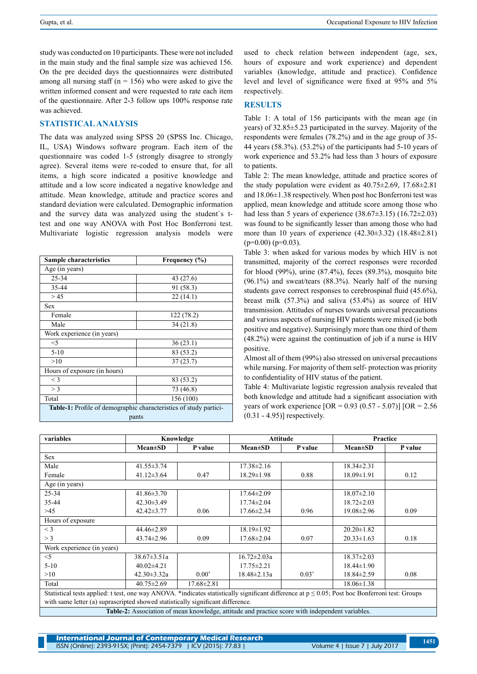study was conducted on 10 participants. These were not included in the main study and the final sample size was achieved 156. On the pre decided days the questionnaires were distributed among all nursing staff ( $n = 156$ ) who were asked to give the written informed consent and were requested to rate each item of the questionnaire. After 2-3 follow ups 100% response rate was achieved.

### **Statistical analysis**

The data was analyzed using SPSS 20 (SPSS Inc. Chicago, IL, USA) Windows software program. Each item of the questionnaire was coded 1-5 (strongly disagree to strongly agree). Several items were re-coded to ensure that, for all items, a high score indicated a positive knowledge and attitude and a low score indicated a negative knowledge and attitude. Mean knowledge, attitude and practice scores and standard deviation were calculated. Demographic information and the survey data was analyzed using the student`s ttest and one way ANOVA with Post Hoc Bonferroni test. Multivariate logistic regression analysis models were

| <b>Sample characteristics</b>                                            | Frequency (%) |  |  |  |  |
|--------------------------------------------------------------------------|---------------|--|--|--|--|
| Age (in years)                                                           |               |  |  |  |  |
| 25-34                                                                    | 43 (27.6)     |  |  |  |  |
| 35-44                                                                    | 91 (58.3)     |  |  |  |  |
| > 45                                                                     | 22(14.1)      |  |  |  |  |
| Sex                                                                      |               |  |  |  |  |
| Female                                                                   | 122 (78.2)    |  |  |  |  |
| Male                                                                     | 34(21.8)      |  |  |  |  |
| Work experience (in years)                                               |               |  |  |  |  |
| $<$ 5                                                                    | 36(23.1)      |  |  |  |  |
| $5-10$                                                                   | 83 (53.2)     |  |  |  |  |
| >10                                                                      | 37(23.7)      |  |  |  |  |
| Hours of exposure (in hours)                                             |               |  |  |  |  |
| $\leq$ 3                                                                 | 83 (53.2)     |  |  |  |  |
| $>$ 3                                                                    | 73 (46.8)     |  |  |  |  |
| Total                                                                    | 156 (100)     |  |  |  |  |
| <b>Table-1:</b> Profile of demographic characteristics of study partici- |               |  |  |  |  |
| pants                                                                    |               |  |  |  |  |

used to check relation between independent (age, sex, hours of exposure and work experience) and dependent variables (knowledge, attitude and practice). Confidence level and level of significance were fixed at 95% and 5% respectively.

#### **RESULTS**

Table 1: A total of 156 participants with the mean age (in years) of 32.85±5.23 participated in the survey. Majority of the respondents were females (78.2%) and in the age group of 35- 44 years (58.3%). (53.2%) of the participants had 5-10 years of work experience and 53.2% had less than 3 hours of exposure to patients.

Table 2: The mean knowledge, attitude and practice scores of the study population were evident as 40.75±2.69, 17.68±2.81 and 18.06±1.38 respectively. When post hoc Bonferroni test was applied, mean knowledge and attitude score among those who had less than 5 years of experience (38.67±3.15) (16.72±2.03) was found to be significantly lesser than among those who had more than 10 years of experience (42.30±3.32) (18.48±2.81)  $(p=0.00)$   $(p=0.03)$ .

Table 3: when asked for various modes by which HIV is not transmitted, majority of the correct responses were recorded for blood (99%), urine (87.4%), feces (89.3%), mosquito bite (96.1%) and sweat/tears (88.3%). Nearly half of the nursing students gave correct responses to cerebrospinal fluid (45.6%), breast milk (57.3%) and saliva (53.4%) as source of HIV transmission. Attitudes of nurses towards universal precautions and various aspects of nursing HIV patients were mixed (ie both positive and negative). Surprisingly more than one third of them (48.2%) were against the continuation of job if a nurse is HIV positive.

Almost all of them (99%) also stressed on universal precautions while nursing. For majority of them self- protection was priority to confidentiality of HIV status of the patient.

Table 4: Multivariate logistic regression analysis revealed that both knowledge and attitude had a significant association with years of work experience  $[OR = 0.93 (0.57 - 5.07)] [OR = 2.56$ (0.31 - 4.95)] respectively.

| variables                                                                                                                                            | Knowledge         |                  | <b>Attitude</b>   |         | Practice         |         |
|------------------------------------------------------------------------------------------------------------------------------------------------------|-------------------|------------------|-------------------|---------|------------------|---------|
|                                                                                                                                                      | $Mean \pm SD$     | P value          | $Mean \pm SD$     | P value | $Mean \pm SD$    | P value |
| Sex                                                                                                                                                  |                   |                  |                   |         |                  |         |
| Male                                                                                                                                                 | $41.55 \pm 3.74$  |                  | $17.38 \pm 2.16$  |         | $18.34 \pm 2.31$ |         |
| Female                                                                                                                                               | $41.12 \pm 3.64$  | 0.47             | $18.29 \pm 1.98$  | 0.88    | $18.09 \pm 1.91$ | 0.12    |
| Age (in years)                                                                                                                                       |                   |                  |                   |         |                  |         |
| $25 - 34$                                                                                                                                            | $41.86 \pm 3.70$  |                  | $17.64 \pm 2.09$  |         | $18.07 \pm 2.10$ |         |
| 35-44                                                                                                                                                | $42.30 \pm 3.49$  |                  | $17.74 \pm 2.04$  |         | $18.72 \pm 2.03$ |         |
| >45                                                                                                                                                  | $42.42 \pm 3.77$  | 0.06             | $17.66 \pm 2.34$  | 0.96    | $19.08 \pm 2.96$ | 0.09    |
| Hours of exposure                                                                                                                                    |                   |                  |                   |         |                  |         |
| $<$ 3                                                                                                                                                | $44.46 \pm 2.89$  |                  | $18.19 \pm 1.92$  |         | $20.20 \pm 1.82$ |         |
| $>$ 3                                                                                                                                                | $43.74 \pm 2.96$  | 0.09             | $17.68 \pm 2.04$  | 0.07    | $20.33 \pm 1.63$ | 0.18    |
| Work experience (in years)                                                                                                                           |                   |                  |                   |         |                  |         |
| $<$ 5                                                                                                                                                | $38.67 \pm 3.51a$ |                  | $16.72 \pm 2.03a$ |         | $18.37 \pm 2.03$ |         |
| $5-10$                                                                                                                                               | $40.02 \pm 4.21$  |                  | $17.75 \pm 2.21$  |         | $18.44 \pm 1.90$ |         |
| >10                                                                                                                                                  | $42.30 \pm 3.32a$ | $0.00*$          | $18.48 \pm 2.13a$ | $0.03*$ | 18.84±2.59       | 0.08    |
| Total                                                                                                                                                | $40.75 \pm 2.69$  | $17.68 \pm 2.81$ |                   |         | $18.06 \pm 1.38$ |         |
| Statistical tests applied: t test, one way ANOVA. *indicates statistically significant difference at $p \le 0.05$ ; Post hoc Bonferroni test: Groups |                   |                  |                   |         |                  |         |
| with same letter (a) suprascripted showed statistically significant difference.                                                                      |                   |                  |                   |         |                  |         |
| Table-2: Association of mean knowledge, attitude and practice score with independent variables.                                                      |                   |                  |                   |         |                  |         |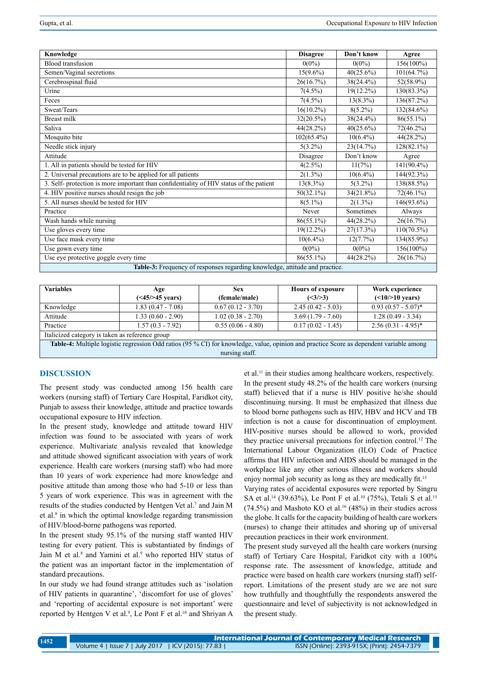| Knowledge                                                                               | <b>Disagree</b> | Don't know   | Agree         |  |  |
|-----------------------------------------------------------------------------------------|-----------------|--------------|---------------|--|--|
| <b>Blood</b> transfusion                                                                | $0(0\%)$        | $0(0\%)$     | 156(100%)     |  |  |
| Semen/Vaginal secretions                                                                | $15(9.6\%)$     | 40(25.6%)    | 101(64.7%)    |  |  |
| Cerebrospinal fluid                                                                     | 26(16.7%)       | 38(24.4%)    | 52(58.9%)     |  |  |
| Urine                                                                                   | $7(4.5\%)$      | $19(12.2\%)$ | 130(83.3%)    |  |  |
| Feces                                                                                   | $7(4.5\%)$      | $13(8.3\%)$  | 136(87.2%)    |  |  |
| Sweat/Tears                                                                             | $16(10.2\%)$    | $8(5.2\%)$   | 132(84.6%)    |  |  |
| <b>Breast milk</b>                                                                      | 32(20.5%)       | 38(24.4%)    | $86(55.1\%)$  |  |  |
| Saliva                                                                                  | 44(28.2%)       | 40(25.6%)    | 72(46.2%)     |  |  |
| Mosquito bite                                                                           | $102(65.4\%)$   | $10(6.4\%)$  | 44(28.2%)     |  |  |
| Needle stick injury                                                                     | $5(3.2\%)$      | 23(14.7%)    | 128(82.1%)    |  |  |
| Attitude                                                                                | Disagree        | Don't know   | Agree         |  |  |
| 1. All in patients should be tested for HIV                                             | 4(2.5%)         | 11(7%)       | $141(90.4\%)$ |  |  |
| 2. Universal precautions are to be applied for all patients                             | $2(1.3\%)$      | $10(6.4\%)$  | 144(92.3%)    |  |  |
| 3. Self- protection is more important than confidentiality of HIV status of the patient | $13(8.3\%)$     | $5(3.2\%)$   | 138(88.5%)    |  |  |
| 4. HIV positive nurses should resign the job                                            | $50(32.1\%)$    | 34(21.8%)    | $72(46.1\%)$  |  |  |
| 5. All nurses should be tested for HIV                                                  | $8(5.1\%)$      | $2(1.3\%)$   | 146(93.6%)    |  |  |
| Practice                                                                                | Never           | Sometimes    | Always        |  |  |
| Wash hands while nursing                                                                | $86(55.1\%)$    | 44(28.2%)    | 26(16.7%)     |  |  |
| Use gloves every time                                                                   | $19(12.2\%)$    | 27(17.3%)    | $110(70.5\%)$ |  |  |
| Use face mask every time                                                                | $10(6.4\%)$     | 12(7.7%)     | 134(85.9%)    |  |  |
| Use gown every time                                                                     | $0(0\%)$        | $0(0\%)$     | 156(100%)     |  |  |
| Use eye protective goggle every time                                                    | $86(55.1\%)$    | $44(28.2\%)$ | 26(16.7%)     |  |  |
| Table-3: Frequency of responses regarding knowledge, attitude and practice.             |                 |              |               |  |  |

| <b>Variables</b>                                | Age<br>$(<15/>45$ years) | <b>Sex</b><br>(female/male) | <b>Hours of exposure</b><br>$(\leq3/>=3)$ | Work experience<br>(  |  |
|-------------------------------------------------|--------------------------|-----------------------------|-------------------------------------------|-----------------------|--|
| Knowledge                                       | $1.83(0.47 - 7.08)$      | $0.67(0.12 - 3.70)$         | $2.45(0.42 - 5.03)$                       | $0.93(0.57 - 5.07)^*$ |  |
| Attitude                                        | $1.33(0.60 - 2.90)$      | $1.02(0.38 - 2.70)$         | $3.69(1.79 - 7.60)$                       | $1.28(0.49 - 3.34)$   |  |
| Practice                                        | $1.57(0.3 - 7.92)$       | $0.55(0.06 - 4.80)$         | $0.17(0.02 - 1.45)$                       | $2.56(0.31 - 4.95)^*$ |  |
| Italicized category is taken as reference group |                          |                             |                                           |                       |  |

**Table-4:** Multiple logistic regression Odd ratios (95 % CI) for knowledge, value, opinion and practice Score as dependent variable among nursing staff.

# **DISCUSSION**

The present study was conducted among 156 health care workers (nursing staff) of Tertiary Care Hospital, Faridkot city, Punjab to assess their knowledge, attitude and practice towards occupational exposure to HIV infection.

In the present study, knowledge and attitude toward HIV infection was found to be associated with years of work experience. Multivariate analysis revealed that knowledge and attitude showed significant association with years of work experience. Health care workers (nursing staff) who had more than 10 years of work experience had more knowledge and positive attitude than among those who had 5-10 or less than 5 years of work experience. This was in agreement with the results of the studies conducted by Hentgen Vet al.<sup>7</sup> and Jain M et al.<sup>8</sup> in which the optimal knowledge regarding transmission of HIV/blood-borne pathogens was reported.

In the present study 95.1% of the nursing staff wanted HIV testing for every patient. This is substantiated by findings of Jain M et al.<sup>8</sup> and Yamini et al.<sup>9</sup> who reported HIV status of the patient was an important factor in the implementation of standard precautions.

In our study we had found strange attitudes such as 'isolation of HIV patients in quarantine', 'discomfort for use of gloves' and 'reporting of accidental exposure is not important' were reported by Hentgen V et al.<sup>9</sup>, Le Pont F et al.<sup>10</sup> and Shriyan A et al.<sup>11</sup> in their studies among healthcare workers, respectively. In the present study 48.2% of the health care workers (nursing staff) believed that if a nurse is HIV positive he/she should discontinuing nursing. It must be emphasized that illness due to blood borne pathogens such as HIV, HBV and HCV and TB infection is not a cause for discontinuation of employment. HIV-positive nurses should be allowed to work, provided they practice universal precautions for infection control.<sup>12</sup> The International Labour Organization (ILO) Code of Practice affirms that HIV infection and AIDS should be managed in the workplace like any other serious illness and workers should enjoy normal job security as long as they are medically fit.<sup>13</sup>

Varying rates of accidental exposures were reported by Singru SA et al.<sup>14</sup> (39.63%), Le Pont F et al.<sup>10</sup> (75%), Tetali S et al.<sup>15</sup>  $(74.5%)$  and Mashoto KO et al.<sup>16</sup> (48%) in their studies across the globe. It calls for the capacity building of health care workers (nurses) to change their attitudes and shoring up of universal precaution practices in their work environment.

The present study surveyed all the health care workers (nursing staff) of Tertiary Care Hospital, Faridkot city with a 100% response rate. The assessment of knowledge, attitude and practice were based on health care workers (nursing staff) selfreport. Limitations of the present study are we are not sure how truthfully and thoughtfully the respondents answered the questionnaire and level of subjectivity is not acknowledged in the present study.